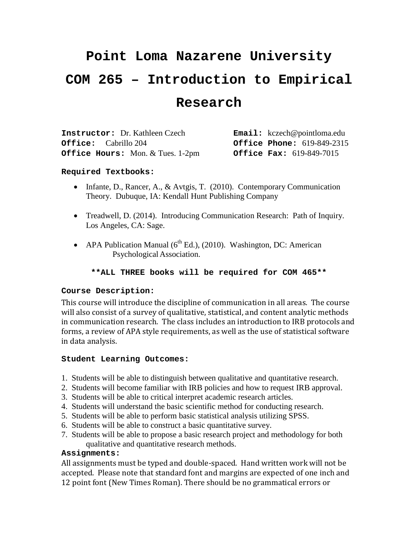# **Point Loma Nazarene University COM 265 – Introduction to Empirical Research**

| <b>Instructor:</b> Dr. Kathleen Czech   | $\texttt{Email}:$ kczech@pointloma.edu |
|-----------------------------------------|----------------------------------------|
| <b>Office:</b> Cabrillo 204             | <b>Office Phone: 619-849-2315</b>      |
| <b>Office Hours:</b> Mon. & Tues. 1-2pm | <b>Office Fax: 619-849-7015</b>        |

## **Required Textbooks:**

- Infante, D., Rancer, A., & Avtgis, T. (2010). Contemporary Communication Theory. Dubuque, IA: Kendall Hunt Publishing Company
- Treadwell, D. (2014). Introducing Communication Research: Path of Inquiry. Los Angeles, CA: Sage.
- APA Publication Manual  $(6^{th}$  Ed.), (2010). Washington, DC: American Psychological Association.

## **\*\*ALL THREE books will be required for COM 465\*\***

## **Course Description:**

This course will introduce the discipline of communication in all areas. The course will also consist of a survey of qualitative, statistical, and content analytic methods in communication research. The class includes an introduction to IRB protocols and forms, a review of APA style requirements, as well as the use of statistical software in data analysis.

## **Student Learning Outcomes:**

- 1. Students will be able to distinguish between qualitative and quantitative research.
- 2. Students will become familiar with IRB policies and how to request IRB approval.
- 3. Students will be able to critical interpret academic research articles.
- 4. Students will understand the basic scientific method for conducting research.
- 5. Students will be able to perform basic statistical analysis utilizing SPSS.
- 6. Students will be able to construct a basic quantitative survey.
- 7. Students will be able to propose a basic research project and methodology for both qualitative and quantitative research methods.

## **Assignments:**

All assignments must be typed and double-spaced. Hand written work will not be accepted. Please note that standard font and margins are expected of one inch and 12 point font (New Times Roman). There should be no grammatical errors or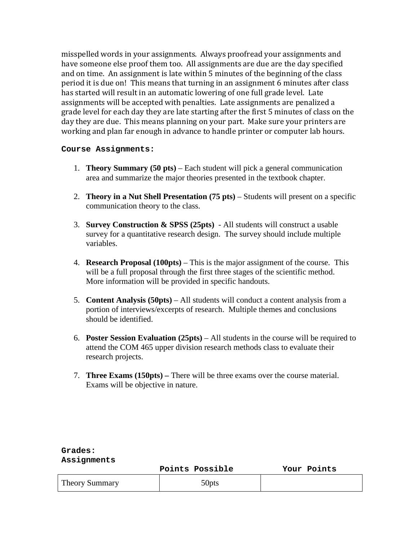misspelled words in your assignments. Always proofread your assignments and have someone else proof them too. All assignments are due are the day specified and on time. An assignment is late within 5 minutes of the beginning of the class period it is due on! This means that turning in an assignment 6 minutes after class has started will result in an automatic lowering of one full grade level. Late assignments will be accepted with penalties. Late assignments are penalized a grade level for each day they are late starting after the first 5 minutes of class on the day they are due. This means planning on your part. Make sure your printers are working and plan far enough in advance to handle printer or computer lab hours.

## **Course Assignments:**

- 1. **Theory Summary (50 pts)** Each student will pick a general communication area and summarize the major theories presented in the textbook chapter.
- 2. **Theory in a Nut Shell Presentation (75 pts)** Students will present on a specific communication theory to the class.
- 3. **Survey Construction & SPSS (25pts)**  All students will construct a usable survey for a quantitative research design. The survey should include multiple variables.
- 4. **Research Proposal (100pts)** This is the major assignment of the course. This will be a full proposal through the first three stages of the scientific method. More information will be provided in specific handouts.
- 5. **Content Analysis (50pts)** All students will conduct a content analysis from a portion of interviews/excerpts of research. Multiple themes and conclusions should be identified.
- 6. **Poster Session Evaluation (25pts)** All students in the course will be required to attend the COM 465 upper division research methods class to evaluate their research projects.
- 7. **Three Exams (150pts) –** There will be three exams over the course material. Exams will be objective in nature.

|                       | Points Possible   | Your Points |
|-----------------------|-------------------|-------------|
| <b>Theory Summary</b> | 50 <sub>pts</sub> |             |

#### **Grades: Assignments**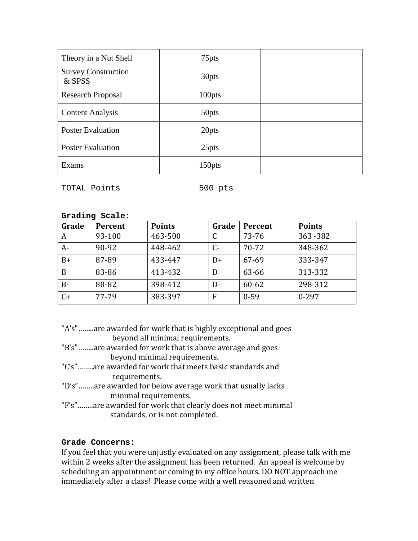| Theory in a Nut Shell                | 75 <sub>pts</sub>  |  |
|--------------------------------------|--------------------|--|
| <b>Survey Construction</b><br>& SPSS | 30 <sub>pts</sub>  |  |
| <b>Research Proposal</b>             | 100pts             |  |
| <b>Content Analysis</b>              | 50pts              |  |
| <b>Poster Evaluation</b>             | 20pts              |  |
| <b>Poster Evaluation</b>             | 25pts              |  |
| Exams                                | 150 <sub>pts</sub> |  |

TOTAL Points 500 pts

| Grading Scale: |  |
|----------------|--|
|                |  |

| Grade | Percent | <b>Points</b> | Grade | Percent  | <b>Points</b> |
|-------|---------|---------------|-------|----------|---------------|
| A     | 93-100  | 463-500       |       | 73-76    | 363-382       |
| A-    | 90-92   | 448-462       | $C -$ | 70-72    | 348-362       |
| $B+$  | 87-89   | 433-447       | D+    | 67-69    | 333-347       |
| B     | 83-86   | 413-432       | D     | 63-66    | 313-332       |
| $B -$ | 80-82   | 398-412       | D-    | 60-62    | 298-312       |
| $C+$  | 77-79   | 383-397       | F     | $0 - 59$ | $0 - 297$     |

- "A's"……..are awarded for work that is highly exceptional and goes beyond all minimal requirements.
- "B's"……..are awarded for work that is above average and goes beyond minimal requirements.
- "C's"……..are awarded for work that meets basic standards and requirements.
- "D's"……..are awarded for below average work that usually lacks minimal requirements.
- "F's"……..are awarded for work that clearly does not meet minimal standards, or is not completed.

# **Grade Concerns:**

If you feel that you were unjustly evaluated on any assignment, please talk with me within 2 weeks after the assignment has been returned. An appeal is welcome by scheduling an appointment or coming to my office hours. DO NOT approach me immediately after a class! Please come with a well reasoned and written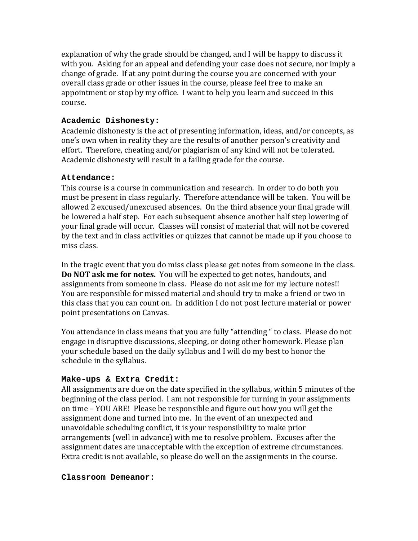explanation of why the grade should be changed, and I will be happy to discuss it with you. Asking for an appeal and defending your case does not secure, nor imply a change of grade. If at any point during the course you are concerned with your overall class grade or other issues in the course, please feel free to make an appointment or stop by my office. I want to help you learn and succeed in this course.

## **Academic Dishonesty:**

Academic dishonesty is the act of presenting information, ideas, and/or concepts, as one's own when in reality they are the results of another person's creativity and effort. Therefore, cheating and/or plagiarism of any kind will not be tolerated. Academic dishonesty will result in a failing grade for the course.

# **Attendance:**

This course is a course in communication and research. In order to do both you must be present in class regularly. Therefore attendance will be taken. You will be allowed 2 excused/unexcused absences. On the third absence your final grade will be lowered a half step. For each subsequent absence another half step lowering of your final grade will occur. Classes will consist of material that will not be covered by the text and in class activities or quizzes that cannot be made up if you choose to miss class.

In the tragic event that you do miss class please get notes from someone in the class. **Do NOT ask me for notes.** You will be expected to get notes, handouts, and assignments from someone in class. Please do not ask me for my lecture notes!! You are responsible for missed material and should try to make a friend or two in this class that you can count on. In addition I do not post lecture material or power point presentations on Canvas.

You attendance in class means that you are fully "attending " to class. Please do not engage in disruptive discussions, sleeping, or doing other homework. Please plan your schedule based on the daily syllabus and I will do my best to honor the schedule in the syllabus.

# **Make-ups & Extra Credit:**

All assignments are due on the date specified in the syllabus, within 5 minutes of the beginning of the class period. I am not responsible for turning in your assignments on time – YOU ARE! Please be responsible and figure out how you will get the assignment done and turned into me. In the event of an unexpected and unavoidable scheduling conflict, it is your responsibility to make prior arrangements (well in advance) with me to resolve problem. Excuses after the assignment dates are unacceptable with the exception of extreme circumstances. Extra credit is not available, so please do well on the assignments in the course.

## **Classroom Demeanor:**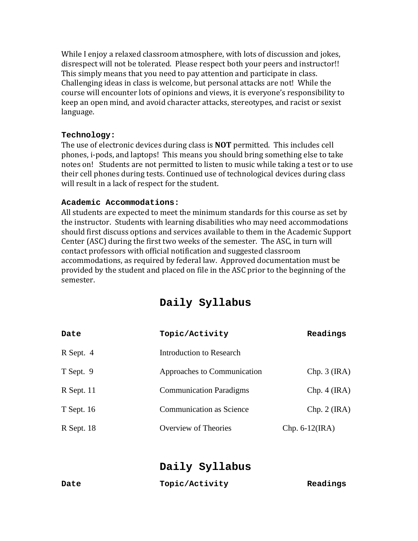While I enjoy a relaxed classroom atmosphere, with lots of discussion and jokes, disrespect will not be tolerated. Please respect both your peers and instructor!! This simply means that you need to pay attention and participate in class. Challenging ideas in class is welcome, but personal attacks are not! While the course will encounter lots of opinions and views, it is everyone's responsibility to keep an open mind, and avoid character attacks, stereotypes, and racist or sexist language.

# **Technology:**

The use of electronic devices during class is **NOT** permitted. This includes cell phones, i-pods, and laptops! This means you should bring something else to take notes on! Students are not permitted to listen to music while taking a test or to use their cell phones during tests. Continued use of technological devices during class will result in a lack of respect for the student.

# **Academic Accommodations:**

All students are expected to meet the minimum standards for this course as set by the instructor. Students with learning disabilities who may need accommodations should first discuss options and services available to them in the Academic Support Center (ASC) during the first two weeks of the semester. The ASC, in turn will contact professors with official notification and suggested classroom accommodations, as required by federal law. Approved documentation must be provided by the student and placed on file in the ASC prior to the beginning of the semester.

| Daily Syllabus |  |  |  |
|----------------|--|--|--|
|                |  |  |  |

| Date         | Topic/Activity                  | Readings          |
|--------------|---------------------------------|-------------------|
| R Sept. 4    | Introduction to Research        |                   |
| T Sept. 9    | Approaches to Communication     | Chp. 3 (IRA)      |
| $R$ Sept. 11 | <b>Communication Paradigms</b>  | Chp. 4 (IRA)      |
| $T$ Sept. 16 | <b>Communication as Science</b> | Chp. 2 (IRA)      |
| R Sept. 18   | Overview of Theories            | Chp. $6-12$ (IRA) |

**Daily Syllabus**

| Date | Topic/Activity | Readings |
|------|----------------|----------|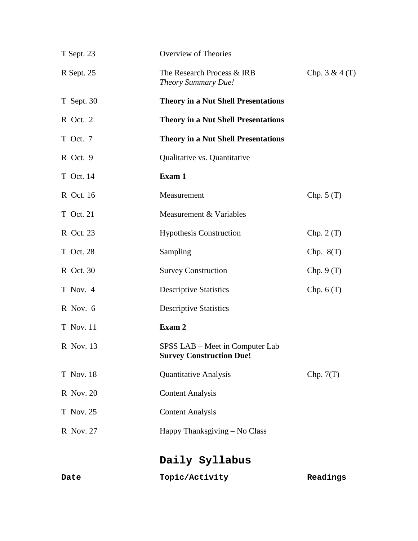| T Sept. 23       | Overview of Theories                                               |                 |
|------------------|--------------------------------------------------------------------|-----------------|
| R Sept. 25       | The Research Process & IRB<br>Theory Summary Due!                  | Chp. $3 & 4(T)$ |
| T Sept. 30       | <b>Theory in a Nut Shell Presentations</b>                         |                 |
| R Oct. 2         | <b>Theory in a Nut Shell Presentations</b>                         |                 |
| T Oct. 7         | <b>Theory in a Nut Shell Presentations</b>                         |                 |
| R Oct. 9         | Qualitative vs. Quantitative                                       |                 |
| T Oct. 14        | Exam 1                                                             |                 |
| R Oct. 16        | Measurement                                                        | Chp. $5(T)$     |
| T Oct. 21        | Measurement & Variables                                            |                 |
| R Oct. 23        | <b>Hypothesis Construction</b>                                     | Chp. $2(T)$     |
| T Oct. 28        | Sampling                                                           | Chp. $8(T)$     |
| R Oct. 30        | <b>Survey Construction</b>                                         | Chp. 9(T)       |
| T Nov. 4         | <b>Descriptive Statistics</b>                                      | Chp. $6(T)$     |
| R Nov. 6         | <b>Descriptive Statistics</b>                                      |                 |
| <b>T</b> Nov. 11 | Exam 2                                                             |                 |
| R Nov. 13        | SPSS LAB – Meet in Computer Lab<br><b>Survey Construction Due!</b> |                 |
| <b>T</b> Nov. 18 | <b>Quantitative Analysis</b>                                       | Chp. $7(T)$     |
| R Nov. 20        | <b>Content Analysis</b>                                            |                 |
| T Nov. 25        | <b>Content Analysis</b>                                            |                 |
| R Nov. 27        | Happy Thanksgiving – No Class                                      |                 |
|                  | Daily Syllabus                                                     |                 |
| Date             | Topic/Activity                                                     | Readings        |